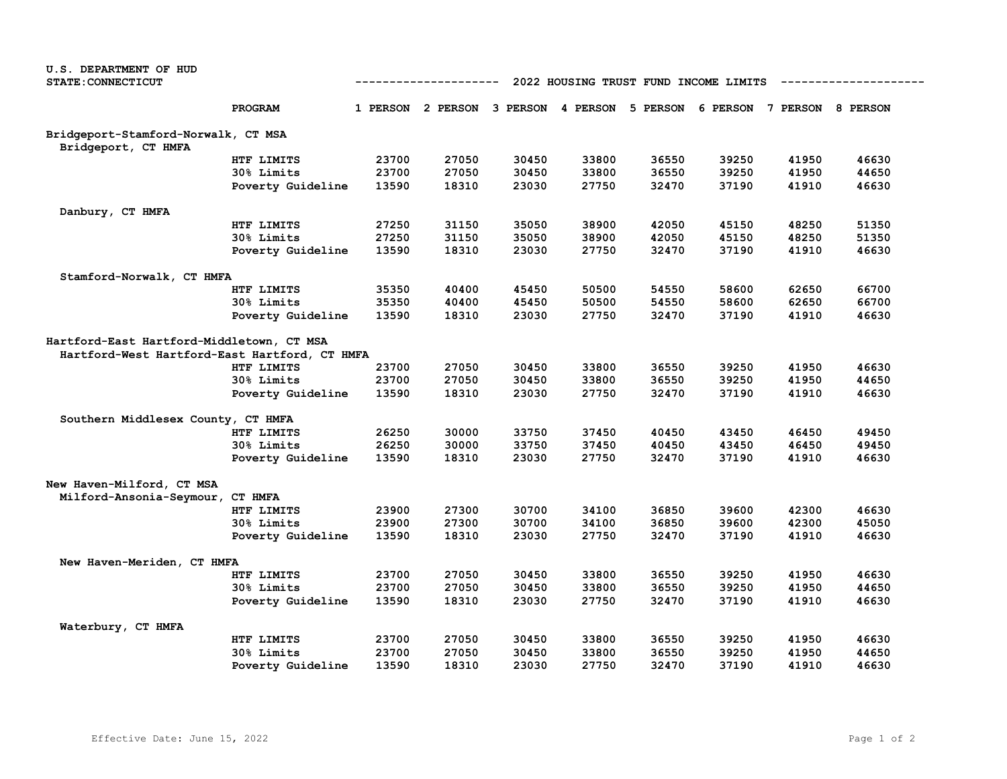| U.S. DEPARTMENT OF HUD                        |                                                    |       |                                              |       |       |       |       |                            |       |  |
|-----------------------------------------------|----------------------------------------------------|-------|----------------------------------------------|-------|-------|-------|-------|----------------------------|-------|--|
| STATE: CONNECTICUT                            | 2022 HOUSING TRUST FUND INCOME LIMITS<br>--------- |       |                                              |       |       |       |       |                            |       |  |
|                                               | <b>PROGRAM</b>                                     |       | 1 PERSON 2 PERSON 3 PERSON 4 PERSON 5 PERSON |       |       |       |       | 6 PERSON 7 PERSON 8 PERSON |       |  |
| Bridgeport-Stamford-Norwalk, CT MSA           |                                                    |       |                                              |       |       |       |       |                            |       |  |
| Bridgeport, CT HMFA                           |                                                    |       |                                              |       |       |       |       |                            |       |  |
|                                               | HTF LIMITS                                         | 23700 | 27050                                        | 30450 | 33800 | 36550 | 39250 | 41950                      | 46630 |  |
|                                               | 30% Limits                                         | 23700 | 27050                                        | 30450 | 33800 | 36550 | 39250 | 41950                      | 44650 |  |
|                                               | Poverty Guideline                                  | 13590 | 18310                                        | 23030 | 27750 | 32470 | 37190 | 41910                      | 46630 |  |
| Danbury, CT HMFA                              |                                                    |       |                                              |       |       |       |       |                            |       |  |
|                                               | HTF LIMITS                                         | 27250 | 31150                                        | 35050 | 38900 | 42050 | 45150 | 48250                      | 51350 |  |
|                                               | 30% Limits                                         | 27250 | 31150                                        | 35050 | 38900 | 42050 | 45150 | 48250                      | 51350 |  |
|                                               | Poverty Guideline                                  | 13590 | 18310                                        | 23030 | 27750 | 32470 | 37190 | 41910                      | 46630 |  |
| Stamford-Norwalk, CT HMFA                     |                                                    |       |                                              |       |       |       |       |                            |       |  |
|                                               | HTF LIMITS                                         | 35350 | 40400                                        | 45450 | 50500 | 54550 | 58600 | 62650                      | 66700 |  |
|                                               | 30% Limits                                         | 35350 | 40400                                        | 45450 | 50500 | 54550 | 58600 | 62650                      | 66700 |  |
|                                               | Poverty Guideline                                  | 13590 | 18310                                        | 23030 | 27750 | 32470 | 37190 | 41910                      | 46630 |  |
| Hartford-East Hartford-Middletown, CT MSA     |                                                    |       |                                              |       |       |       |       |                            |       |  |
| Hartford-West Hartford-East Hartford, CT HMFA |                                                    |       |                                              |       |       |       |       |                            |       |  |
|                                               | HTF LIMITS                                         | 23700 | 27050                                        | 30450 | 33800 | 36550 | 39250 | 41950                      | 46630 |  |
|                                               | 30% Limits                                         | 23700 | 27050                                        | 30450 | 33800 | 36550 | 39250 | 41950                      | 44650 |  |
|                                               | Poverty Guideline                                  | 13590 | 18310                                        | 23030 | 27750 | 32470 | 37190 | 41910                      | 46630 |  |
| Southern Middlesex County, CT HMFA            |                                                    |       |                                              |       |       |       |       |                            |       |  |
|                                               | HTF LIMITS                                         | 26250 | 30000                                        | 33750 | 37450 | 40450 | 43450 | 46450                      | 49450 |  |
|                                               | 30% Limits                                         | 26250 | 30000                                        | 33750 | 37450 | 40450 | 43450 | 46450                      | 49450 |  |
|                                               | Poverty Guideline                                  | 13590 | 18310                                        | 23030 | 27750 | 32470 | 37190 | 41910                      | 46630 |  |
| New Haven-Milford, CT MSA                     |                                                    |       |                                              |       |       |       |       |                            |       |  |
| Milford-Ansonia-Seymour, CT HMFA              |                                                    |       |                                              |       |       |       |       |                            |       |  |
|                                               | HTF LIMITS                                         | 23900 | 27300                                        | 30700 | 34100 | 36850 | 39600 | 42300                      | 46630 |  |
|                                               | 30% Limits                                         | 23900 | 27300                                        | 30700 | 34100 | 36850 | 39600 | 42300                      | 45050 |  |
|                                               | Poverty Guideline                                  | 13590 | 18310                                        | 23030 | 27750 | 32470 | 37190 | 41910                      | 46630 |  |
| New Haven-Meriden, CT HMFA                    |                                                    |       |                                              |       |       |       |       |                            |       |  |
|                                               | HTF LIMITS                                         | 23700 | 27050                                        | 30450 | 33800 | 36550 | 39250 | 41950                      | 46630 |  |
|                                               | 30% Limits                                         | 23700 | 27050                                        | 30450 | 33800 | 36550 | 39250 | 41950                      | 44650 |  |
|                                               | Poverty Guideline                                  | 13590 | 18310                                        | 23030 | 27750 | 32470 | 37190 | 41910                      | 46630 |  |
| Waterbury, CT HMFA                            |                                                    |       |                                              |       |       |       |       |                            |       |  |
|                                               | HTF LIMITS                                         | 23700 | 27050                                        | 30450 | 33800 | 36550 | 39250 | 41950                      | 46630 |  |
|                                               | 30% Limits                                         | 23700 | 27050                                        | 30450 | 33800 | 36550 | 39250 | 41950                      | 44650 |  |
|                                               | Poverty Guideline                                  | 13590 | 18310                                        | 23030 | 27750 | 32470 | 37190 | 41910                      | 46630 |  |